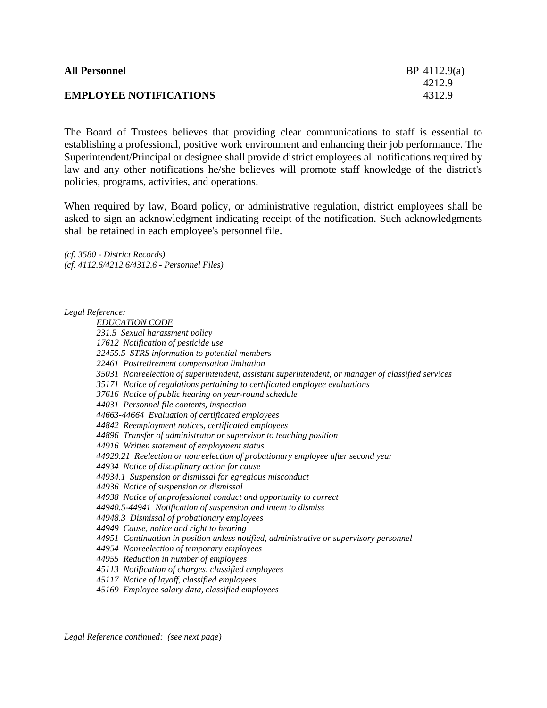| <b>All Personnel</b>          | $BP$ 4112.9(a) |
|-------------------------------|----------------|
|                               | 4212.9         |
| <b>EMPLOYEE NOTIFICATIONS</b> | 4312.9         |

The Board of Trustees believes that providing clear communications to staff is essential to establishing a professional, positive work environment and enhancing their job performance. The Superintendent/Principal or designee shall provide district employees all notifications required by law and any other notifications he/she believes will promote staff knowledge of the district's policies, programs, activities, and operations.

When required by law, Board policy, or administrative regulation, district employees shall be asked to sign an acknowledgment indicating receipt of the notification. Such acknowledgments shall be retained in each employee's personnel file.

*(cf. 3580 - District Records) (cf. 4112.6/4212.6/4312.6 - Personnel Files)*

*Legal Reference: EDUCATION CODE 231.5 Sexual harassment policy 17612 Notification of pesticide use 22455.5 STRS information to potential members 22461 Postretirement compensation limitation 35031 Nonreelection of superintendent, assistant superintendent, or manager of classified services 35171 Notice of regulations pertaining to certificated employee evaluations 37616 Notice of public hearing on year-round schedule 44031 Personnel file contents, inspection 44663-44664 Evaluation of certificated employees 44842 Reemployment notices, certificated employees 44896 Transfer of administrator or supervisor to teaching position 44916 Written statement of employment status 44929.21 Reelection or nonreelection of probationary employee after second year 44934 Notice of disciplinary action for cause 44934.1 Suspension or dismissal for egregious misconduct 44936 Notice of suspension or dismissal 44938 Notice of unprofessional conduct and opportunity to correct 44940.5-44941 Notification of suspension and intent to dismiss 44948.3 Dismissal of probationary employees 44949 Cause, notice and right to hearing 44951 Continuation in position unless notified, administrative or supervisory personnel 44954 Nonreelection of temporary employees 44955 Reduction in number of employees 45113 Notification of charges, classified employees 45117 Notice of layoff, classified employees 45169 Employee salary data, classified employees*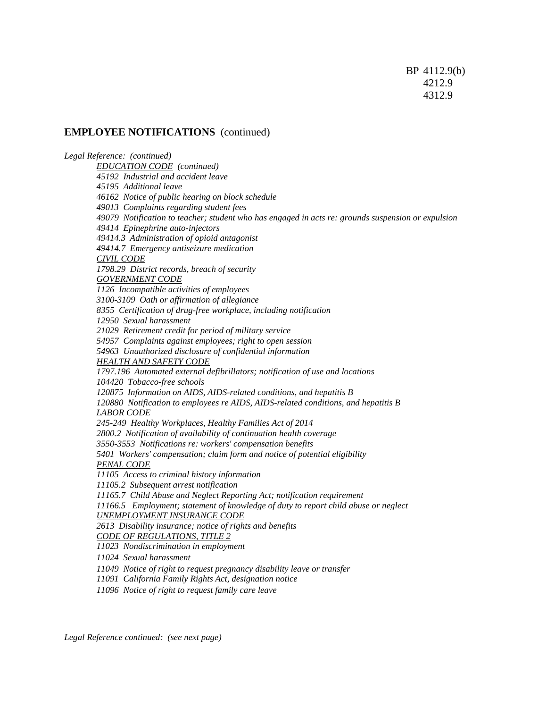BP 4112.9(b) 4212.9 4312.9

#### **EMPLOYEE NOTIFICATIONS** (continued)

*Legal Reference: (continued) EDUCATION CODE (continued) 45192 Industrial and accident leave 45195 Additional leave 46162 Notice of public hearing on block schedule 49013 Complaints regarding student fees 49079 Notification to teacher; student who has engaged in acts re: grounds suspension or expulsion 49414 Epinephrine auto-injectors 49414.3 Administration of opioid antagonist 49414.7 Emergency antiseizure medication CIVIL CODE 1798.29 District records, breach of security GOVERNMENT CODE 1126 Incompatible activities of employees 3100-3109 Oath or affirmation of allegiance 8355 Certification of drug-free workplace, including notification 12950 Sexual harassment 21029 Retirement credit for period of military service 54957 Complaints against employees; right to open session 54963 Unauthorized disclosure of confidential information HEALTH AND SAFETY CODE 1797.196 Automated external defibrillators; notification of use and locations 104420 Tobacco-free schools 120875 Information on AIDS, AIDS-related conditions, and hepatitis B 120880 Notification to employees re AIDS, AIDS-related conditions, and hepatitis B LABOR CODE 245-249 Healthy Workplaces, Healthy Families Act of 2014 2800.2 Notification of availability of continuation health coverage 3550-3553 Notifications re: workers' compensation benefits 5401 Workers' compensation; claim form and notice of potential eligibility PENAL CODE 11105 Access to criminal history information 11105.2 Subsequent arrest notification 11165.7 Child Abuse and Neglect Reporting Act; notification requirement 11166.5 Employment; statement of knowledge of duty to report child abuse or neglect UNEMPLOYMENT INSURANCE CODE 2613 Disability insurance; notice of rights and benefits CODE OF REGULATIONS, TITLE 2 11023 Nondiscrimination in employment 11024 Sexual harassment 11049 Notice of right to request pregnancy disability leave or transfer 11091 California Family Rights Act, designation notice 11096 Notice of right to request family care leave*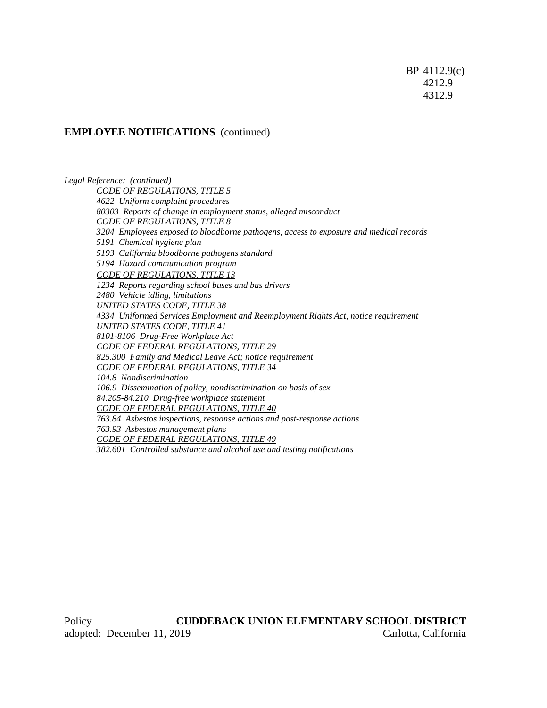BP 4112.9(c) 4212.9 4312.9

#### **EMPLOYEE NOTIFICATIONS** (continued)

*Legal Reference: (continued) CODE OF REGULATIONS, TITLE 5 4622 Uniform complaint procedures 80303 Reports of change in employment status, alleged misconduct CODE OF REGULATIONS, TITLE 8 3204 Employees exposed to bloodborne pathogens, access to exposure and medical records 5191 Chemical hygiene plan 5193 California bloodborne pathogens standard 5194 Hazard communication program CODE OF REGULATIONS, TITLE 13 1234 Reports regarding school buses and bus drivers 2480 Vehicle idling, limitations UNITED STATES CODE, TITLE 38 4334 Uniformed Services Employment and Reemployment Rights Act, notice requirement UNITED STATES CODE, TITLE 41 8101-8106 Drug-Free Workplace Act CODE OF FEDERAL REGULATIONS, TITLE 29 825.300 Family and Medical Leave Act; notice requirement CODE OF FEDERAL REGULATIONS, TITLE 34 104.8 Nondiscrimination 106.9 Dissemination of policy, nondiscrimination on basis of sex 84.205-84.210 Drug-free workplace statement CODE OF FEDERAL REGULATIONS, TITLE 40 763.84 Asbestos inspections, response actions and post-response actions 763.93 Asbestos management plans CODE OF FEDERAL REGULATIONS, TITLE 49 382.601 Controlled substance and alcohol use and testing notifications*

Policy **CUDDEBACK UNION ELEMENTARY SCHOOL DISTRICT** adopted: December 11, 2019 Carlotta, California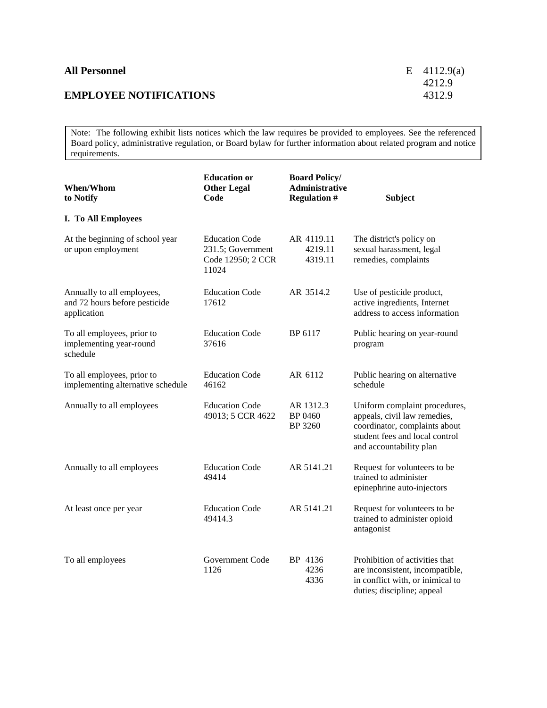### **All Personnel** E 4112.9(a)

### **EMPLOYEE NOTIFICATIONS**

Note: The following exhibit lists notices which the law requires be provided to employees. See the referenced Board policy, administrative regulation, or Board bylaw for further information about related program and notice requirements.

| <b>When/Whom</b><br>to Notify                                              | <b>Education or</b><br><b>Other Legal</b><br>Code                        | <b>Board Policy/</b><br><b>Administrative</b><br><b>Regulation #</b> | <b>Subject</b>                                                                                                                                              |
|----------------------------------------------------------------------------|--------------------------------------------------------------------------|----------------------------------------------------------------------|-------------------------------------------------------------------------------------------------------------------------------------------------------------|
| I. To All Employees                                                        |                                                                          |                                                                      |                                                                                                                                                             |
| At the beginning of school year<br>or upon employment                      | <b>Education Code</b><br>231.5; Government<br>Code 12950; 2 CCR<br>11024 | AR 4119.11<br>4219.11<br>4319.11                                     | The district's policy on<br>sexual harassment, legal<br>remedies, complaints                                                                                |
| Annually to all employees,<br>and 72 hours before pesticide<br>application | <b>Education Code</b><br>17612                                           | AR 3514.2                                                            | Use of pesticide product,<br>active ingredients, Internet<br>address to access information                                                                  |
| To all employees, prior to<br>implementing year-round<br>schedule          | <b>Education Code</b><br>37616                                           | BP 6117                                                              | Public hearing on year-round<br>program                                                                                                                     |
| To all employees, prior to<br>implementing alternative schedule            | <b>Education Code</b><br>46162                                           | AR 6112                                                              | Public hearing on alternative<br>schedule                                                                                                                   |
| Annually to all employees                                                  | <b>Education Code</b><br>49013; 5 CCR 4622                               | AR 1312.3<br>BP 0460<br>BP 3260                                      | Uniform complaint procedures,<br>appeals, civil law remedies,<br>coordinator, complaints about<br>student fees and local control<br>and accountability plan |
| Annually to all employees                                                  | <b>Education Code</b><br>49414                                           | AR 5141.21                                                           | Request for volunteers to be<br>trained to administer<br>epinephrine auto-injectors                                                                         |
| At least once per year                                                     | <b>Education Code</b><br>49414.3                                         | AR 5141.21                                                           | Request for volunteers to be<br>trained to administer opioid<br>antagonist                                                                                  |
| To all employees                                                           | Government Code<br>1126                                                  | BP 4136<br>4236<br>4336                                              | Prohibition of activities that<br>are inconsistent, incompatible,<br>in conflict with, or inimical to<br>duties; discipline; appeal                         |

4212.9<br>4312.9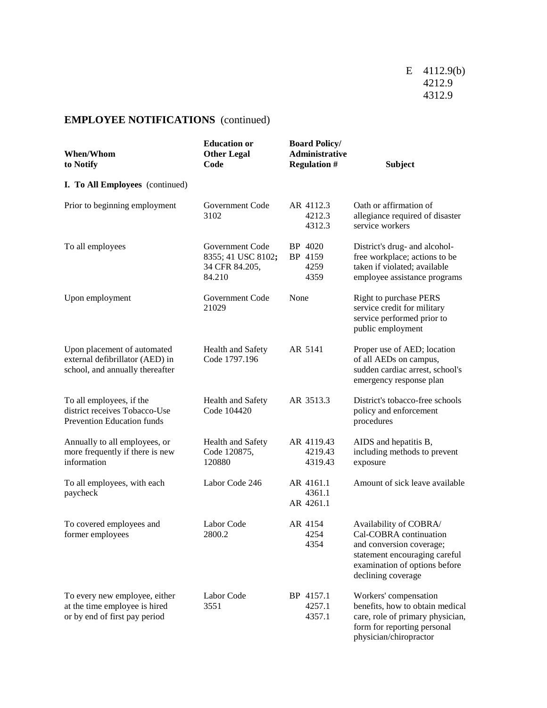| When/Whom<br>to Notify                                                                            | <b>Education or</b><br><b>Other Legal</b><br>Code                 | <b>Board Policy/</b><br><b>Administrative</b><br><b>Regulation #</b> | <b>Subject</b>                                                                                                                                                       |
|---------------------------------------------------------------------------------------------------|-------------------------------------------------------------------|----------------------------------------------------------------------|----------------------------------------------------------------------------------------------------------------------------------------------------------------------|
| I. To All Employees (continued)                                                                   |                                                                   |                                                                      |                                                                                                                                                                      |
| Prior to beginning employment                                                                     | Government Code<br>3102                                           | AR 4112.3<br>4212.3<br>4312.3                                        | Oath or affirmation of<br>allegiance required of disaster<br>service workers                                                                                         |
| To all employees                                                                                  | Government Code<br>8355; 41 USC 8102;<br>34 CFR 84.205,<br>84.210 | BP 4020<br>BP 4159<br>4259<br>4359                                   | District's drug- and alcohol-<br>free workplace; actions to be<br>taken if violated; available<br>employee assistance programs                                       |
| Upon employment                                                                                   | Government Code<br>21029                                          | None                                                                 | Right to purchase PERS<br>service credit for military<br>service performed prior to<br>public employment                                                             |
| Upon placement of automated<br>external defibrillator (AED) in<br>school, and annually thereafter | Health and Safety<br>Code 1797.196                                | AR 5141                                                              | Proper use of AED; location<br>of all AEDs on campus,<br>sudden cardiac arrest, school's<br>emergency response plan                                                  |
| To all employees, if the<br>district receives Tobacco-Use<br>Prevention Education funds           | Health and Safety<br>Code 104420                                  | AR 3513.3                                                            | District's tobacco-free schools<br>policy and enforcement<br>procedures                                                                                              |
| Annually to all employees, or<br>more frequently if there is new<br>information                   | <b>Health and Safety</b><br>Code 120875,<br>120880                | AR 4119.43<br>4219.43<br>4319.43                                     | AIDS and hepatitis B,<br>including methods to prevent<br>exposure                                                                                                    |
| To all employees, with each<br>paycheck                                                           | Labor Code 246                                                    | AR 4161.1<br>4361.1<br>AR 4261.1                                     | Amount of sick leave available                                                                                                                                       |
| To covered employees and<br>former employees                                                      | Labor Code<br>2800.2                                              | AR 4154<br>4254<br>4354                                              | Availability of COBRA/<br>Cal-COBRA continuation<br>and conversion coverage;<br>statement encouraging careful<br>examination of options before<br>declining coverage |
| To every new employee, either<br>at the time employee is hired<br>or by end of first pay period   | Labor Code<br>3551                                                | BP 4157.1<br>4257.1<br>4357.1                                        | Workers' compensation<br>benefits, how to obtain medical<br>care, role of primary physician,<br>form for reporting personal<br>physician/chiropractor                |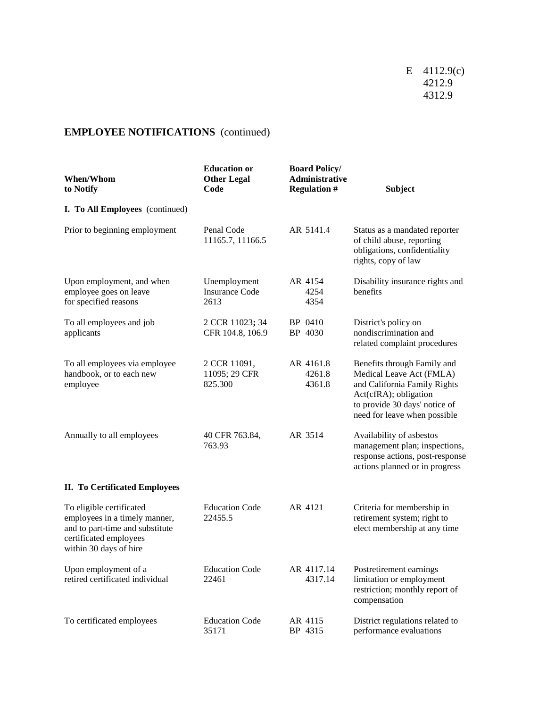| <b>When/Whom</b><br>to Notify                                                                                                                    | <b>Education or</b><br><b>Other Legal</b><br>Code | <b>Board Policy/</b><br><b>Administrative</b><br><b>Regulation #</b> | <b>Subject</b>                                                                                                                                                                    |
|--------------------------------------------------------------------------------------------------------------------------------------------------|---------------------------------------------------|----------------------------------------------------------------------|-----------------------------------------------------------------------------------------------------------------------------------------------------------------------------------|
| I. To All Employees (continued)                                                                                                                  |                                                   |                                                                      |                                                                                                                                                                                   |
| Prior to beginning employment                                                                                                                    | Penal Code<br>11165.7, 11166.5                    | AR 5141.4                                                            | Status as a mandated reporter<br>of child abuse, reporting<br>obligations, confidentiality<br>rights, copy of law                                                                 |
| Upon employment, and when<br>employee goes on leave<br>for specified reasons                                                                     | Unemployment<br><b>Insurance Code</b><br>2613     | AR 4154<br>4254<br>4354                                              | Disability insurance rights and<br>benefits                                                                                                                                       |
| To all employees and job<br>applicants                                                                                                           | 2 CCR 11023; 34<br>CFR 104.8, 106.9               | BP 0410<br>BP 4030                                                   | District's policy on<br>nondiscrimination and<br>related complaint procedures                                                                                                     |
| To all employees via employee<br>handbook, or to each new<br>employee                                                                            | 2 CCR 11091,<br>11095; 29 CFR<br>825.300          | AR 4161.8<br>4261.8<br>4361.8                                        | Benefits through Family and<br>Medical Leave Act (FMLA)<br>and California Family Rights<br>Act(cfRA); obligation<br>to provide 30 days' notice of<br>need for leave when possible |
| Annually to all employees                                                                                                                        | 40 CFR 763.84,<br>763.93                          | AR 3514                                                              | Availability of asbestos<br>management plan; inspections,<br>response actions, post-response<br>actions planned or in progress                                                    |
| <b>II. To Certificated Employees</b>                                                                                                             |                                                   |                                                                      |                                                                                                                                                                                   |
| To eligible certificated<br>employees in a timely manner,<br>and to part-time and substitute<br>certificated employees<br>within 30 days of hire | <b>Education Code</b><br>22455.5                  | AR 4121                                                              | Criteria for membership in<br>retirement system; right to<br>elect membership at any time                                                                                         |
| Upon employment of a<br>retired certificated individual                                                                                          | <b>Education Code</b><br>22461                    | AR 4117.14<br>4317.14                                                | Postretirement earnings<br>limitation or employment<br>restriction; monthly report of<br>compensation                                                                             |
| To certificated employees                                                                                                                        | <b>Education Code</b><br>35171                    | AR 4115<br>BP 4315                                                   | District regulations related to<br>performance evaluations                                                                                                                        |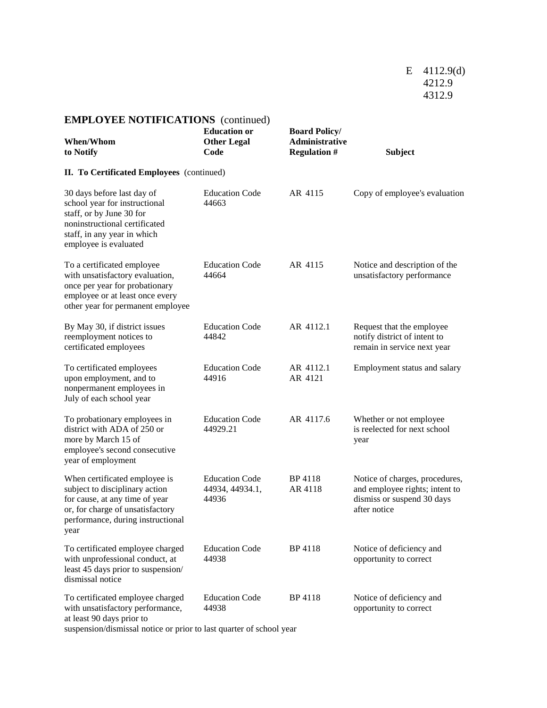| <b>When/Whom</b><br>to Notify                                                                                                                                                      | <b>Education or</b><br><b>Other Legal</b><br>Code | <b>Board Policy/</b><br><b>Administrative</b><br><b>Regulation #</b> | <b>Subject</b>                                                                                                 |
|------------------------------------------------------------------------------------------------------------------------------------------------------------------------------------|---------------------------------------------------|----------------------------------------------------------------------|----------------------------------------------------------------------------------------------------------------|
| II. To Certificated Employees (continued)                                                                                                                                          |                                                   |                                                                      |                                                                                                                |
| 30 days before last day of<br>school year for instructional<br>staff, or by June 30 for<br>noninstructional certificated<br>staff, in any year in which<br>employee is evaluated   | <b>Education Code</b><br>44663                    | AR 4115                                                              | Copy of employee's evaluation                                                                                  |
| To a certificated employee<br>with unsatisfactory evaluation,<br>once per year for probationary<br>employee or at least once every<br>other year for permanent employee            | <b>Education Code</b><br>44664                    | AR 4115                                                              | Notice and description of the<br>unsatisfactory performance                                                    |
| By May 30, if district issues<br>reemployment notices to<br>certificated employees                                                                                                 | <b>Education Code</b><br>44842                    | AR 4112.1                                                            | Request that the employee<br>notify district of intent to<br>remain in service next year                       |
| To certificated employees<br>upon employment, and to<br>nonpermanent employees in<br>July of each school year                                                                      | <b>Education Code</b><br>44916                    | AR 4112.1<br>AR 4121                                                 | Employment status and salary                                                                                   |
| To probationary employees in<br>district with ADA of 250 or<br>more by March 15 of<br>employee's second consecutive<br>year of employment                                          | <b>Education Code</b><br>44929.21                 | AR 4117.6                                                            | Whether or not employee<br>is reelected for next school<br>year                                                |
| When certificated employee is<br>subject to disciplinary action<br>for cause, at any time of year<br>or, for charge of unsatisfactory<br>performance, during instructional<br>year | <b>Education Code</b><br>44934, 44934.1,<br>44936 | <b>BP</b> 4118<br>AR 4118                                            | Notice of charges, procedures,<br>and employee rights; intent to<br>dismiss or suspend 30 days<br>after notice |
| To certificated employee charged<br>with unprofessional conduct, at<br>least 45 days prior to suspension/<br>dismissal notice                                                      | <b>Education Code</b><br>44938                    | <b>BP</b> 4118                                                       | Notice of deficiency and<br>opportunity to correct                                                             |
| To certificated employee charged<br>with unsatisfactory performance,<br>at least 90 days prior to                                                                                  | <b>Education Code</b><br>44938                    | <b>BP</b> 4118                                                       | Notice of deficiency and<br>opportunity to correct                                                             |

suspension/dismissal notice or prior to last quarter of school year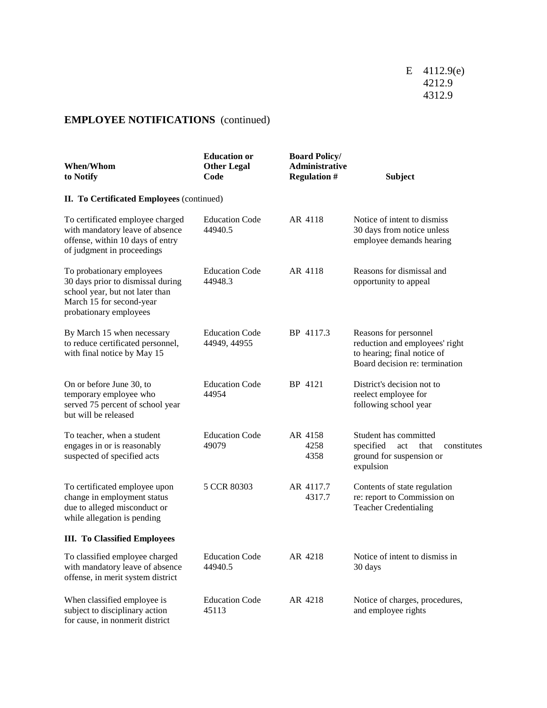| When/Whom<br>to Notify                                                                                                                                  | <b>Education or</b><br><b>Other Legal</b><br>Code | <b>Board Policy/</b><br><b>Administrative</b><br><b>Regulation #</b> | <b>Subject</b>                                                                                                           |
|---------------------------------------------------------------------------------------------------------------------------------------------------------|---------------------------------------------------|----------------------------------------------------------------------|--------------------------------------------------------------------------------------------------------------------------|
| II. To Certificated Employees (continued)                                                                                                               |                                                   |                                                                      |                                                                                                                          |
| To certificated employee charged<br>with mandatory leave of absence<br>offense, within 10 days of entry<br>of judgment in proceedings                   | <b>Education Code</b><br>44940.5                  | AR 4118                                                              | Notice of intent to dismiss<br>30 days from notice unless<br>employee demands hearing                                    |
| To probationary employees<br>30 days prior to dismissal during<br>school year, but not later than<br>March 15 for second-year<br>probationary employees | <b>Education Code</b><br>44948.3                  | AR 4118                                                              | Reasons for dismissal and<br>opportunity to appeal                                                                       |
| By March 15 when necessary<br>to reduce certificated personnel,<br>with final notice by May 15                                                          | <b>Education Code</b><br>44949, 44955             | BP 4117.3                                                            | Reasons for personnel<br>reduction and employees' right<br>to hearing; final notice of<br>Board decision re: termination |
| On or before June 30, to<br>temporary employee who<br>served 75 percent of school year<br>but will be released                                          | <b>Education Code</b><br>44954                    | BP 4121                                                              | District's decision not to<br>reelect employee for<br>following school year                                              |
| To teacher, when a student<br>engages in or is reasonably<br>suspected of specified acts                                                                | <b>Education Code</b><br>49079                    | AR 4158<br>4258<br>4358                                              | Student has committed<br>specified<br>act<br>that<br>constitutes<br>ground for suspension or<br>expulsion                |
| To certificated employee upon<br>change in employment status<br>due to alleged misconduct or<br>while allegation is pending                             | 5 CCR 80303                                       | AR 4117.7<br>4317.7                                                  | Contents of state regulation<br>re: report to Commission on<br><b>Teacher Credentialing</b>                              |
| <b>III.</b> To Classified Employees                                                                                                                     |                                                   |                                                                      |                                                                                                                          |
| To classified employee charged<br>with mandatory leave of absence<br>offense, in merit system district                                                  | <b>Education Code</b><br>44940.5                  | AR 4218                                                              | Notice of intent to dismiss in<br>30 days                                                                                |
| When classified employee is<br>subject to disciplinary action<br>for cause, in nonmerit district                                                        | <b>Education Code</b><br>45113                    | AR 4218                                                              | Notice of charges, procedures,<br>and employee rights                                                                    |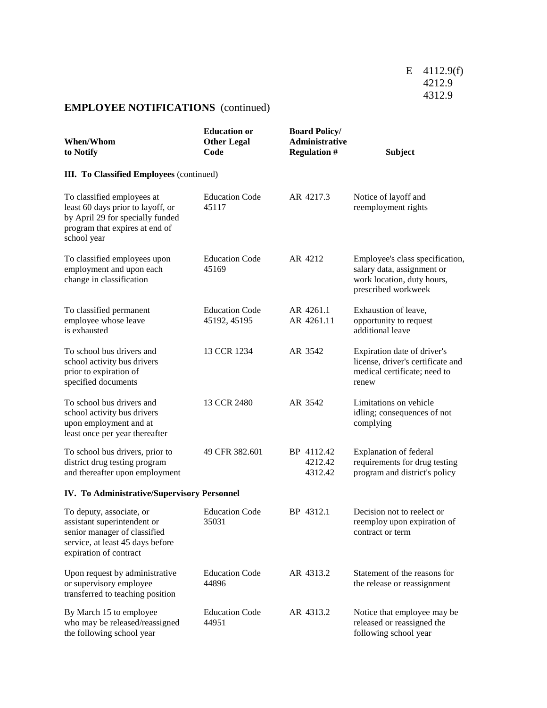| <b>When/Whom</b><br>to Notify                                                                                                                         | <b>Education or</b><br><b>Other Legal</b><br>Code | <b>Board Policy/</b><br><b>Administrative</b><br><b>Regulation #</b> | <b>Subject</b>                                                                                                     |
|-------------------------------------------------------------------------------------------------------------------------------------------------------|---------------------------------------------------|----------------------------------------------------------------------|--------------------------------------------------------------------------------------------------------------------|
| III. To Classified Employees (continued)                                                                                                              |                                                   |                                                                      |                                                                                                                    |
| To classified employees at<br>least 60 days prior to layoff, or<br>by April 29 for specially funded<br>program that expires at end of<br>school year  | <b>Education Code</b><br>45117                    | AR 4217.3                                                            | Notice of layoff and<br>reemployment rights                                                                        |
| To classified employees upon<br>employment and upon each<br>change in classification                                                                  | <b>Education Code</b><br>45169                    | AR 4212                                                              | Employee's class specification,<br>salary data, assignment or<br>work location, duty hours,<br>prescribed workweek |
| To classified permanent<br>employee whose leave<br>is exhausted                                                                                       | <b>Education Code</b><br>45192, 45195             | AR 4261.1<br>AR 4261.11                                              | Exhaustion of leave,<br>opportunity to request<br>additional leave                                                 |
| To school bus drivers and<br>school activity bus drivers<br>prior to expiration of<br>specified documents                                             | 13 CCR 1234                                       | AR 3542                                                              | Expiration date of driver's<br>license, driver's certificate and<br>medical certificate; need to<br>renew          |
| To school bus drivers and<br>school activity bus drivers<br>upon employment and at<br>least once per year thereafter                                  | 13 CCR 2480                                       | AR 3542                                                              | Limitations on vehicle<br>idling; consequences of not<br>complying                                                 |
| To school bus drivers, prior to<br>district drug testing program<br>and thereafter upon employment                                                    | 49 CFR 382.601                                    | BP 4112.42<br>4212.42<br>4312.42                                     | <b>Explanation of federal</b><br>requirements for drug testing<br>program and district's policy                    |
| <b>IV.</b> To Administrative/Supervisory Personnel                                                                                                    |                                                   |                                                                      |                                                                                                                    |
| To deputy, associate, or<br>assistant superintendent or<br>senior manager of classified<br>service, at least 45 days before<br>expiration of contract | <b>Education Code</b><br>35031                    | BP 4312.1                                                            | Decision not to reelect or<br>reemploy upon expiration of<br>contract or term                                      |
| Upon request by administrative<br>or supervisory employee<br>transferred to teaching position                                                         | <b>Education Code</b><br>44896                    | AR 4313.2                                                            | Statement of the reasons for<br>the release or reassignment                                                        |
| By March 15 to employee<br>who may be released/reassigned<br>the following school year                                                                | <b>Education Code</b><br>44951                    | AR 4313.2                                                            | Notice that employee may be<br>released or reassigned the<br>following school year                                 |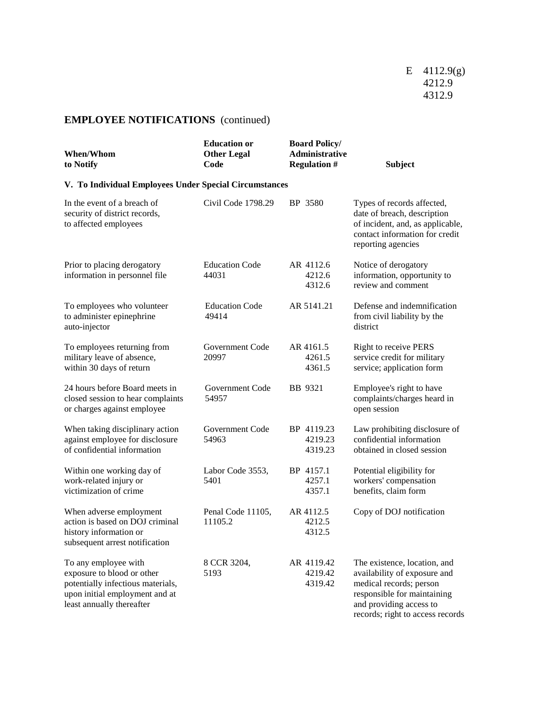| <b>When/Whom</b><br>to Notify                                                                                                                          | <b>Education</b> or<br><b>Other Legal</b><br>Code | <b>Board Policy/</b><br><b>Administrative</b><br><b>Regulation #</b> | <b>Subject</b>                                                                                                                                                                        |
|--------------------------------------------------------------------------------------------------------------------------------------------------------|---------------------------------------------------|----------------------------------------------------------------------|---------------------------------------------------------------------------------------------------------------------------------------------------------------------------------------|
| V. To Individual Employees Under Special Circumstances                                                                                                 |                                                   |                                                                      |                                                                                                                                                                                       |
| In the event of a breach of<br>security of district records,<br>to affected employees                                                                  | Civil Code 1798.29                                | BP 3580                                                              | Types of records affected,<br>date of breach, description<br>of incident, and, as applicable,<br>contact information for credit<br>reporting agencies                                 |
| Prior to placing derogatory<br>information in personnel file                                                                                           | <b>Education Code</b><br>44031                    | AR 4112.6<br>4212.6<br>4312.6                                        | Notice of derogatory<br>information, opportunity to<br>review and comment                                                                                                             |
| To employees who volunteer<br>to administer epinephrine<br>auto-injector                                                                               | <b>Education Code</b><br>49414                    | AR 5141.21                                                           | Defense and indemnification<br>from civil liability by the<br>district                                                                                                                |
| To employees returning from<br>military leave of absence,<br>within 30 days of return                                                                  | Government Code<br>20997                          | AR 4161.5<br>4261.5<br>4361.5                                        | Right to receive PERS<br>service credit for military<br>service; application form                                                                                                     |
| 24 hours before Board meets in<br>closed session to hear complaints<br>or charges against employee                                                     | Government Code<br>54957                          | BB 9321                                                              | Employee's right to have<br>complaints/charges heard in<br>open session                                                                                                               |
| When taking disciplinary action<br>against employee for disclosure<br>of confidential information                                                      | Government Code<br>54963                          | BP 4119.23<br>4219.23<br>4319.23                                     | Law prohibiting disclosure of<br>confidential information<br>obtained in closed session                                                                                               |
| Within one working day of<br>work-related injury or<br>victimization of crime                                                                          | Labor Code 3553,<br>5401                          | BP 4157.1<br>4257.1<br>4357.1                                        | Potential eligibility for<br>workers' compensation<br>benefits, claim form                                                                                                            |
| When adverse employment<br>action is based on DOJ criminal<br>history information or<br>subsequent arrest notification                                 | Penal Code 11105,<br>11105.2                      | AR 4112.5<br>4212.5<br>4312.5                                        | Copy of DOJ notification                                                                                                                                                              |
| To any employee with<br>exposure to blood or other<br>potentially infectious materials,<br>upon initial employment and at<br>least annually thereafter | 8 CCR 3204,<br>5193                               | AR 4119.42<br>4219.42<br>4319.42                                     | The existence, location, and<br>availability of exposure and<br>medical records; person<br>responsible for maintaining<br>and providing access to<br>records; right to access records |